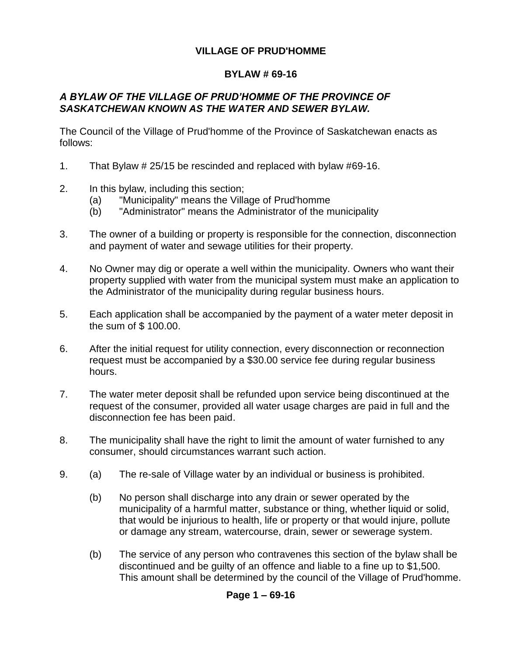# **VILLAGE OF PRUD'HOMME**

# **BYLAW # 69-16**

# *A BYLAW OF THE VILLAGE OF PRUD'HOMME OF THE PROVINCE OF SASKATCHEWAN KNOWN AS THE WATER AND SEWER BYLAW.*

The Council of the Village of Prud'homme of the Province of Saskatchewan enacts as follows:

- 1. That Bylaw # 25/15 be rescinded and replaced with bylaw #69-16.
- 2. In this bylaw, including this section;
	- (a) "Municipality" means the Village of Prud'homme
	- (b) "Administrator" means the Administrator of the municipality
- 3. The owner of a building or property is responsible for the connection, disconnection and payment of water and sewage utilities for their property.
- 4. No Owner may dig or operate a well within the municipality. Owners who want their property supplied with water from the municipal system must make an application to the Administrator of the municipality during regular business hours.
- 5. Each application shall be accompanied by the payment of a water meter deposit in the sum of \$ 100.00.
- 6. After the initial request for utility connection, every disconnection or reconnection request must be accompanied by a \$30.00 service fee during regular business hours.
- 7. The water meter deposit shall be refunded upon service being discontinued at the request of the consumer, provided all water usage charges are paid in full and the disconnection fee has been paid.
- 8. The municipality shall have the right to limit the amount of water furnished to any consumer, should circumstances warrant such action.
- 9. (a) The re-sale of Village water by an individual or business is prohibited.
	- (b) No person shall discharge into any drain or sewer operated by the municipality of a harmful matter, substance or thing, whether liquid or solid, that would be injurious to health, life or property or that would injure, pollute or damage any stream, watercourse, drain, sewer or sewerage system.
	- (b) The service of any person who contravenes this section of the bylaw shall be discontinued and be guilty of an offence and liable to a fine up to \$1,500. This amount shall be determined by the council of the Village of Prud'homme.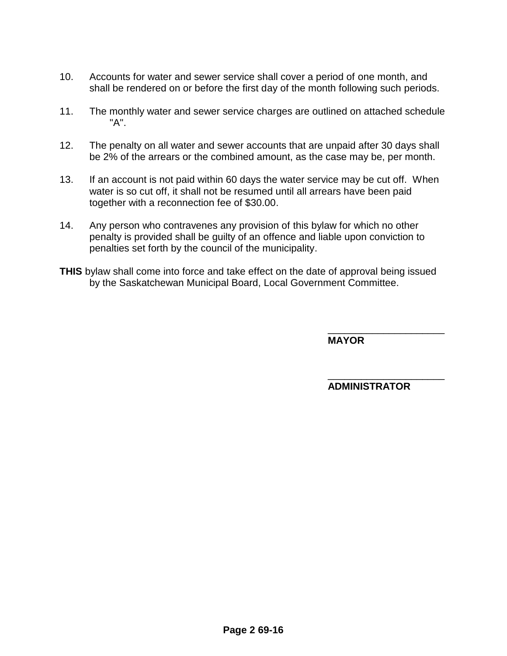- 10. Accounts for water and sewer service shall cover a period of one month, and shall be rendered on or before the first day of the month following such periods.
- 11. The monthly water and sewer service charges are outlined on attached schedule "A".
- 12. The penalty on all water and sewer accounts that are unpaid after 30 days shall be 2% of the arrears or the combined amount, as the case may be, per month.
- 13. If an account is not paid within 60 days the water service may be cut off. When water is so cut off, it shall not be resumed until all arrears have been paid together with a reconnection fee of \$30.00.
- 14. Any person who contravenes any provision of this bylaw for which no other penalty is provided shall be guilty of an offence and liable upon conviction to penalties set forth by the council of the municipality.
- **THIS** bylaw shall come into force and take effect on the date of approval being issued by the Saskatchewan Municipal Board, Local Government Committee.

**MAYOR**

**ADMINISTRATOR**

\_\_\_\_\_\_\_\_\_\_\_\_\_\_\_\_\_\_\_\_\_

\_\_\_\_\_\_\_\_\_\_\_\_\_\_\_\_\_\_\_\_\_